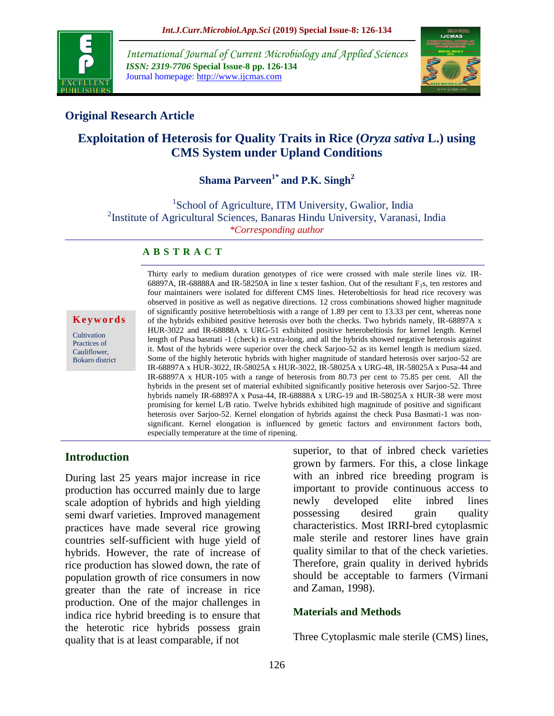

*International Journal of Current Microbiology and Applied Sciences ISSN: 2319-7706* **Special Issue-8 pp. 126-134** Journal homepage: http://www.ijcmas.com



# **Original Research Article**

# **Exploitation of Heterosis for Quality Traits in Rice (***Oryza sativa* **L.) using CMS System under Upland Conditions**

# **Shama Parveen1\* and P.K. Singh<sup>2</sup>**

<sup>1</sup>School of Agriculture, ITM University, Gwalior, India <sup>2</sup>Institute of Agricultural Sciences, Banaras Hindu University, Varanasi, India *\*Corresponding author*

#### **A B S T R A C T**

#### **K e y w o r d s**

**Cultivation** Practices of Cauliflower, Bokaro district Thirty early to medium duration genotypes of rice were crossed with male sterile lines *viz.* IR-68897A, IR-68888A and IR-58250A in line x tester fashion. Out of the resultant  $F_1$ s, ten restores and four maintainers were isolated for different CMS lines. Heterobeltiosis for head rice recovery was observed in positive as well as negative directions. 12 cross combinations showed higher magnitude of significantly positive heterobeltiosis with a range of 1.89 per cent to 13.33 per cent, whereas none of the hybrids exhibited positive heterosis over both the checks. Two hybrids namely, IR-68897A x HUR-3022 and IR-68888A x URG-51 exhibited positive heterobeltiosis for kernel length. Kernel length of Pusa basmati -1 (check) is extra-long, and all the hybrids showed negative heterosis against it. Most of the hybrids were superior over the check Sarjoo-52 as its kernel length is medium sized. Some of the highly heterotic hybrids with higher magnitude of standard heterosis over sarjoo-52 are IR-68897A x HUR-3022, IR-58025A x HUR-3022, IR-58025A x URG-48, IR-58025A x Pusa-44 and IR-68897A x HUR-105 with a range of heterosis from 80.73 per cent to 75.85 per cent. All the hybrids in the present set of material exhibited significantly positive heterosis over Sarjoo-52. Three hybrids namely IR-68897A x Pusa-44, IR-68888A x URG-19 and IR-58025A x HUR-38 were most promising for kernel L/B ratio. Twelve hybrids exhibited high magnitude of positive and significant heterosis over Sarjoo-52. Kernel elongation of hybrids against the check Pusa Basmati-1 was nonsignificant. Kernel elongation is influenced by genetic factors and environment factors both, especially temperature at the time of ripening.

#### **Introduction**

During last 25 years major increase in rice production has occurred mainly due to large scale adoption of hybrids and high yielding semi dwarf varieties. Improved management practices have made several rice growing countries self-sufficient with huge yield of hybrids. However, the rate of increase of rice production has slowed down, the rate of population growth of rice consumers in now greater than the rate of increase in rice production. One of the major challenges in indica rice hybrid breeding is to ensure that the heterotic rice hybrids possess grain quality that is at least comparable, if not

superior, to that of inbred check varieties grown by farmers. For this, a close linkage with an inbred rice breeding program is important to provide continuous access to newly developed elite inbred lines possessing desired grain quality characteristics. Most IRRI-bred cytoplasmic male sterile and restorer lines have grain quality similar to that of the check varieties. Therefore, grain quality in derived hybrids should be acceptable to farmers (Virmani and Zaman, 1998).

#### **Materials and Methods**

Three Cytoplasmic male sterile (CMS) lines,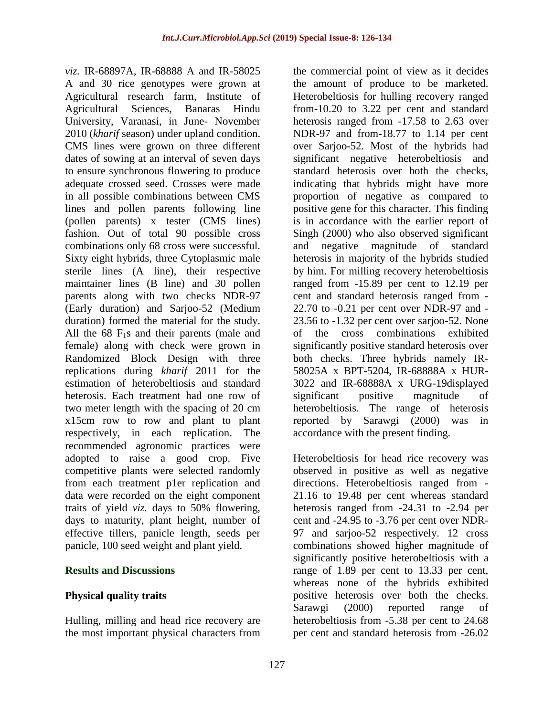*viz.* IR-68897A, IR-68888 A and IR-58025 A and 30 rice genotypes were grown at Agricultural research farm, Institute of Agricultural Sciences, Banaras Hindu University, Varanasi, in June- November 2010 (*kharif* season) under upland condition. CMS lines were grown on three different dates of sowing at an interval of seven days to ensure synchronous flowering to produce adequate crossed seed. Crosses were made in all possible combinations between CMS lines and pollen parents following line (pollen parents) x tester (CMS lines) fashion. Out of total 90 possible cross combinations only 68 cross were successful. Sixty eight hybrids, three Cytoplasmic male sterile lines (A line), their respective maintainer lines (B line) and 30 pollen parents along with two checks NDR-97 (Early duration) and Sarjoo-52 (Medium duration) formed the material for the study. All the  $68 \text{ F}_1$ s and their parents (male and female) along with check were grown in Randomized Block Design with three replications during *kharif* 2011 for the estimation of heterobeltiosis and standard heterosis. Each treatment had one row of two meter length with the spacing of 20 cm x15cm row to row and plant to plant respectively, in each replication. The recommended agronomic practices were adopted to raise a good crop. Five competitive plants were selected randomly from each treatment p1er replication and data were recorded on the eight component traits of yield *viz.* days to 50% flowering, days to maturity, plant height, number of effective tillers, panicle length, seeds per panicle, 100 seed weight and plant yield.

### **Results and Discussions**

# **Physical quality traits**

Hulling, milling and head rice recovery are the most important physical characters from the commercial point of view as it decides the amount of produce to be marketed. Heterobeltiosis for hulling recovery ranged from-10.20 to 3.22 per cent and standard heterosis ranged from -17.58 to 2.63 over NDR-97 and from-18.77 to 1.14 per cent over Sarjoo-52. Most of the hybrids had significant negative heterobeltiosis and standard heterosis over both the checks, indicating that hybrids might have more proportion of negative as compared to positive gene for this character. This finding is in accordance with the earlier report of Singh (2000) who also observed significant and negative magnitude of standard heterosis in majority of the hybrids studied by him. For milling recovery heterobeltiosis ranged from -15.89 per cent to 12.19 per cent and standard heterosis ranged from - 22.70 to -0.21 per cent over NDR-97 and - 23.56 to -1.32 per cent over sarjoo-52. None of the cross combinations exhibited significantly positive standard heterosis over both checks. Three hybrids namely IR-58025A x BPT-5204, IR-68888A x HUR-3022 and IR-68888A x URG-19displayed significant positive magnitude of heterobeltiosis. The range of heterosis reported by Sarawgi (2000) was in accordance with the present finding.

Heterobeltiosis for head rice recovery was observed in positive as well as negative directions. Heterobeltiosis ranged from - 21.16 to 19.48 per cent whereas standard heterosis ranged from -24.31 to -2.94 per cent and -24.95 to -3.76 per cent over NDR-97 and sarjoo-52 respectively. 12 cross combinations showed higher magnitude of significantly positive heterobeltiosis with a range of 1.89 per cent to 13.33 per cent, whereas none of the hybrids exhibited positive heterosis over both the checks. Sarawgi (2000) reported range of heterobeltiosis from -5.38 per cent to 24.68 per cent and standard heterosis from -26.02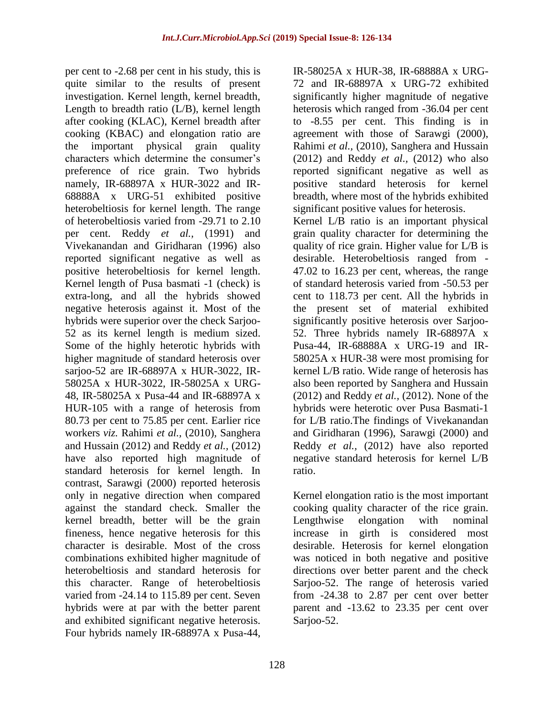per cent to -2.68 per cent in his study, this is quite similar to the results of present investigation. Kernel length, kernel breadth, Length to breadth ratio (L/B), kernel length after cooking (KLAC), Kernel breadth after cooking (KBAC) and elongation ratio are the important physical grain quality characters which determine the consumer's preference of rice grain. Two hybrids namely, IR-68897A x HUR-3022 and IR-68888A x URG-51 exhibited positive heterobeltiosis for kernel length. The range of heterobeltiosis varied from -29.71 to 2.10 per cent. Reddy *et al.,* (1991) and Vivekanandan and Giridharan (1996) also reported significant negative as well as positive heterobeltiosis for kernel length. Kernel length of Pusa basmati -1 (check) is extra-long, and all the hybrids showed negative heterosis against it. Most of the hybrids were superior over the check Sarjoo-52 as its kernel length is medium sized. Some of the highly heterotic hybrids with higher magnitude of standard heterosis over sarjoo-52 are IR-68897A x HUR-3022, IR-58025A x HUR-3022, IR-58025A x URG-48, IR-58025A x Pusa-44 and IR-68897A x HUR-105 with a range of heterosis from 80.73 per cent to 75.85 per cent. Earlier rice workers *viz.* Rahimi *et al.,* (2010)*,* Sanghera and Hussain (2012) and Reddy *et al.,* (2012) have also reported high magnitude of standard heterosis for kernel length. In contrast, Sarawgi (2000) reported heterosis only in negative direction when compared against the standard check. Smaller the kernel breadth, better will be the grain fineness, hence negative heterosis for this character is desirable. Most of the cross combinations exhibited higher magnitude of heterobeltiosis and standard heterosis for this character. Range of heterobeltiosis varied from -24.14 to 115.89 per cent. Seven hybrids were at par with the better parent and exhibited significant negative heterosis. Four hybrids namely IR-68897A x Pusa-44,

IR-58025A x HUR-38, IR-68888A x URG-72 and IR-68897A x URG-72 exhibited significantly higher magnitude of negative heterosis which ranged from -36.04 per cent to -8.55 per cent. This finding is in agreement with those of Sarawgi (2000), Rahimi *et al.,* (2010), Sanghera and Hussain (2012) and Reddy *et al.,* (2012) who also reported significant negative as well as positive standard heterosis for kernel breadth, where most of the hybrids exhibited significant positive values for heterosis.

Kernel L/B ratio is an important physical grain quality character for determining the quality of rice grain. Higher value for L/B is desirable. Heterobeltiosis ranged from - 47.02 to 16.23 per cent, whereas, the range of standard heterosis varied from -50.53 per cent to 118.73 per cent. All the hybrids in the present set of material exhibited significantly positive heterosis over Sarjoo-52. Three hybrids namely IR-68897A x Pusa-44, IR-68888A x URG-19 and IR-58025A x HUR-38 were most promising for kernel L/B ratio. Wide range of heterosis has also been reported by Sanghera and Hussain (2012) and Reddy *et al.,* (2012). None of the hybrids were heterotic over Pusa Basmati-1 for L/B ratio.The findings of Vivekanandan and Giridharan (1996), Sarawgi (2000) and Reddy *et al.,* (2012) have also reported negative standard heterosis for kernel L/B ratio.

Kernel elongation ratio is the most important cooking quality character of the rice grain. Lengthwise elongation with nominal increase in girth is considered most desirable. Heterosis for kernel elongation was noticed in both negative and positive directions over better parent and the check Sarjoo-52. The range of heterosis varied from -24.38 to 2.87 per cent over better parent and -13.62 to 23.35 per cent over Sarjoo-52.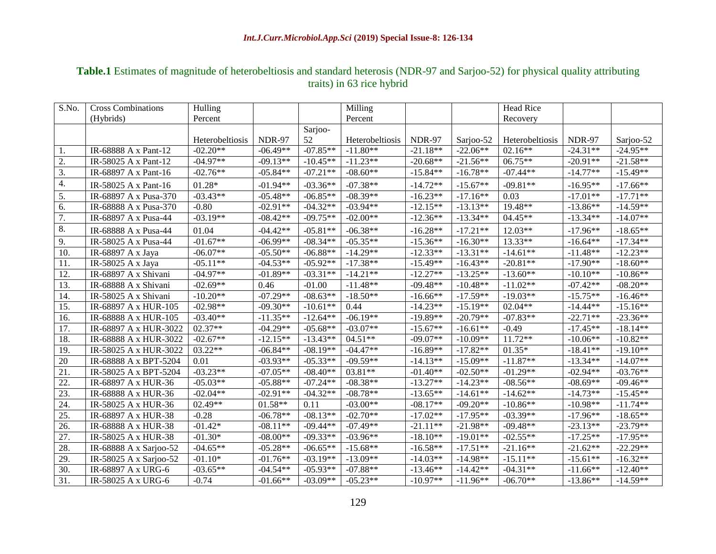# **Table.1** Estimates of magnitude of heterobeltiosis and standard heterosis (NDR-97 and Sarjoo-52) for physical quality attributing traits) in 63 rice hybrid

| S.No.             | <b>Cross Combinations</b> | Hulling         |               |            | Milling         |               |            | Head Rice       |               |            |
|-------------------|---------------------------|-----------------|---------------|------------|-----------------|---------------|------------|-----------------|---------------|------------|
|                   | (Hybrids)                 | Percent         |               |            | Percent         |               |            | Recovery        |               |            |
|                   |                           |                 |               | Sarjoo-    |                 |               |            |                 |               |            |
|                   |                           | Heterobeltiosis | <b>NDR-97</b> | 52         | Heterobeltiosis | <b>NDR-97</b> | Sarjoo-52  | Heterobeltiosis | <b>NDR-97</b> | Sarjoo-52  |
| 1.                | IR-68888 A x Pant-12      | $-02.20**$      | $-06.49**$    | $-07.85**$ | $-11.80**$      | $-21.18**$    | $-22.06**$ | $02.16**$       | $-24.31**$    | $-24.95**$ |
| 2.                | IR-58025 A x Pant-12      | $-04.97**$      | $-09.13**$    | $-10.45**$ | $-11.23**$      | $-20.68**$    | $-21.56**$ | $06.75**$       | $-20.91**$    | $-21.58**$ |
| $\overline{3}$ .  | IR-68897 A x Pant-16      | $-02.76**$      | $-05.84**$    | $-07.21**$ | $-08.60**$      | $-15.84**$    | $-16.78**$ | $-07.44**$      | $-14.77**$    | $-15.49**$ |
| 4.                | IR-58025 A x Pant-16      | $01.28*$        | $-01.94**$    | $-03.36**$ | $-07.38**$      | $-14.72**$    | $-15.67**$ | $-09.81**$      | $-16.95**$    | $-17.66**$ |
| $\overline{5}$ .  | IR-68897 A x Pusa-370     | $-03.43**$      | $-05.48**$    | $-06.85**$ | $-08.39**$      | $-16.23**$    | $-17.16**$ | 0.03            | $-17.01**$    | $-17.71**$ |
| 6.                | IR-68888 A x Pusa-370     | $-0.80$         | $-02.91**$    | $-04.32**$ | $-03.94**$      | $-12.15**$    | $-13.13**$ | 19.48**         | $-13.86**$    | $-14.59**$ |
| 7.                | IR-68897 A x Pusa-44      | $-03.19**$      | $-08.42**$    | $-09.75**$ | $-02.00**$      | $-12.36**$    | $-13.34**$ | $04.45**$       | $-13.34**$    | $-14.07**$ |
| 8.                | IR-68888 A x Pusa-44      | 01.04           | $-04.42**$    | $-05.81**$ | $-06.38**$      | $-16.28**$    | $-17.21**$ | $12.03**$       | $-17.96**$    | $-18.65**$ |
| 9.                | IR-58025 A x Pusa-44      | $-01.67**$      | $-06.99**$    | $-08.34**$ | $-05.35**$      | $-15.36**$    | $-16.30**$ | 13.33**         | $-16.64**$    | $-17.34**$ |
| 10.               | IR-68897 A x Jaya         | $-06.07**$      | $-05.50**$    | $-06.88**$ | $-14.29**$      | $-12.33**$    | $-13.31**$ | $-14.61**$      | $-11.48**$    | $-12.23**$ |
| 11.               | IR-58025 A x Jaya         | $-05.11**$      | $-04.53**$    | $-05.92**$ | $-17.38**$      | $-15.49**$    | $-16.43**$ | $-20.81**$      | $-17.90**$    | $-18.60**$ |
| 12.               | IR-68897 A x Shivani      | $-04.97**$      | $-01.89**$    | $-03.31**$ | $-14.21**$      | $-12.27**$    | $-13.25**$ | $-13.60**$      | $-10.10**$    | $-10.86**$ |
| 13.               | IR-68888 A x Shivani      | $-02.69**$      | 0.46          | $-01.00$   | $-11.48**$      | $-09.48**$    | $-10.48**$ | $-11.02**$      | $-07.42**$    | $-08.20**$ |
| 14.               | IR-58025 A x Shivani      | $-10.20**$      | $-07.29**$    | $-08.63**$ | $-18.50**$      | $-16.66**$    | $-17.59**$ | $-19.03**$      | $-15.75**$    | $-16.46**$ |
| 15.               | IR-68897 A x HUR-105      | $-02.98**$      | $-09.30**$    | $-10.61**$ | 0.44            | $-14.23**$    | $-15.19**$ | $02.04**$       | $-14.44**$    | $-15.16**$ |
| 16.               | IR-68888 A x HUR-105      | $-03.40**$      | $-11.35**$    | $-12.64**$ | $-06.19**$      | $-19.89**$    | $-20.79**$ | $-07.83**$      | $-22.71**$    | $-23.36**$ |
| 17.               | IR-68897 A x HUR-3022     | 02.37**         | $-04.29**$    | $-05.68**$ | $-03.07**$      | $-15.67**$    | $-16.61**$ | $-0.49$         | $-17.45**$    | $-18.14**$ |
| 18.               | IR-68888 A x HUR-3022     | $-02.67**$      | $-12.15**$    | $-13.43**$ | $04.51**$       | $-09.07**$    | $-10.09**$ | $11.72**$       | $-10.06**$    | $-10.82**$ |
| 19.               | IR-58025 A x HUR-3022     | $03.22**$       | $-06.84**$    | $-08.19**$ | $-04.47**$      | $-16.89**$    | $-17.82**$ | $01.35*$        | $-18.41**$    | $-19.10**$ |
| 20                | IR-68888 A x BPT-5204     | 0.01            | $-03.93**$    | $-05.33**$ | $-09.59**$      | $-14.13**$    | $-15.09**$ | $-11.87**$      | $-13.34**$    | $-14.07**$ |
| $\overline{21}$ . | IR-58025 A x BPT-5204     | $-03.23**$      | $-07.05**$    | $-08.40**$ | 03.81**         | $-01.40**$    | $-02.50**$ | $-01.29**$      | $-02.94**$    | $-03.76**$ |
| 22.               | IR-68897 A x HUR-36       | $-05.03**$      | $-05.88**$    | $-07.24**$ | $-08.38**$      | $-13.27**$    | $-14.23**$ | $-08.56**$      | $-08.69**$    | $-09.46**$ |
| 23.               | IR-68888 A x HUR-36       | $-02.04**$      | $-02.91**$    | $-04.32**$ | $-08.78**$      | $-13.65**$    | $-14.61**$ | $-14.62**$      | $-14.73**$    | $-15.45**$ |
| 24.               | IR-58025 A x HUR-36       | 02.49**         | $01.58**$     | 0.11       | $-03.00**$      | $-08.17**$    | $-09.20**$ | $-10.86**$      | $-10.98**$    | $-11.74**$ |
| $\overline{25}$ . | IR-68897 A x HUR-38       | $-0.28$         | $-06.78**$    | $-08.13**$ | $-02.70**$      | $-17.02**$    | $-17.95**$ | $-03.39**$      | $-17.96**$    | $-18.65**$ |
| 26.               | IR-68888 A x HUR-38       | $-01.42*$       | $-08.11**$    | $-09.44**$ | $-07.49**$      | $-21.11**$    | $-21.98**$ | $-09.48**$      | $-23.13**$    | $-23.79**$ |
| 27.               | IR-58025 A x HUR-38       | $-01.30*$       | $-08.00**$    | $-09.33**$ | $-03.96**$      | $-18.10**$    | $-19.01**$ | $-02.55**$      | $-17.25**$    | $-17.95**$ |
| 28.               | IR-68888 A x Sarjoo-52    | $-04.65**$      | $-05.28**$    | $-06.65**$ | $-15.68**$      | $-16.58**$    | $-17.51**$ | $-21.16**$      | $-21.62**$    | $-22.29**$ |
| 29.               | IR-58025 A x Sarjoo-52    | $-01.10*$       | $-01.76**$    | $-03.19**$ | $-13.09**$      | $-14.03**$    | $-14.98**$ | $-15.11**$      | $-15.61**$    | $-16.32**$ |
| 30.               | IR-68897 A x URG-6        | $-03.65**$      | $-04.54**$    | $-05.93**$ | $-07.88**$      | $-13.46**$    | $-14.42**$ | $-04.31**$      | $-11.66**$    | $-12.40**$ |
| $\overline{31}$ . | IR-58025 A x URG-6        | $-0.74$         | $-01.66**$    | $-03.09**$ | $-05.23**$      | $-10.97**$    | $-11.96**$ | $-06.70**$      | $-13.86**$    | $-14.59**$ |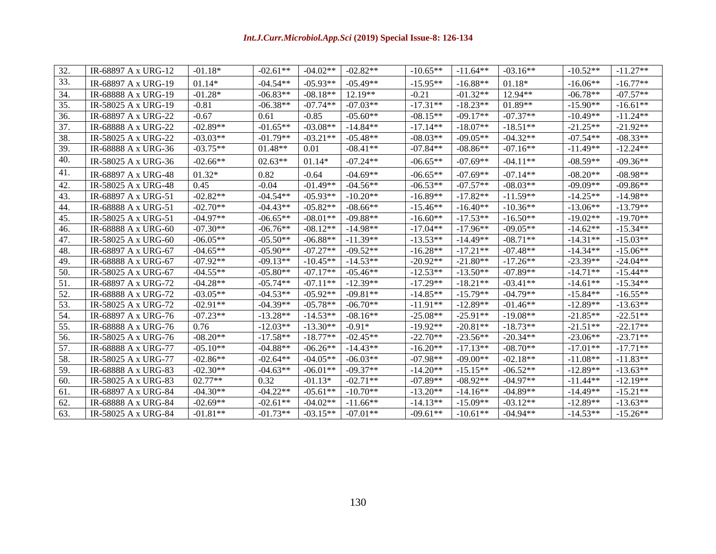| 32. | IR-68897 A x URG-12 | $-01.18*$  | $-02.61**$ | $-04.02**$ | $-02.82**$ | $-10.65**$ | $-11.64**$ | $-03.16**$ | $-10.52**$ | $-11.27**$ |
|-----|---------------------|------------|------------|------------|------------|------------|------------|------------|------------|------------|
| 33. | IR-68897 A x URG-19 | $01.14*$   | $-04.54**$ | $-05.93**$ | $-05.49**$ | $-15.95**$ | $-16.88**$ | $01.18*$   | $-16.06**$ | $-16.77**$ |
| 34. | IR-68888 A x URG-19 | $-01.28*$  | $-06.83**$ | $-08.18**$ | $12.19**$  | $-0.21$    | $-01.32**$ | $12.94**$  | $-06.78**$ | $-07.57**$ |
| 35. | IR-58025 A x URG-19 | $-0.81$    | $-06.38**$ | $-07.74**$ | $-07.03**$ | $-17.31**$ | $-18.23**$ | 01.89**    | $-15.90**$ | $-16.61**$ |
| 36. | IR-68897 A x URG-22 | $-0.67$    | 0.61       | $-0.85$    | $-05.60**$ | $-08.15**$ | $-09.17**$ | $-07.37**$ | $-10.49**$ | $-11.24**$ |
| 37. | IR-68888 A x URG-22 | $-02.89**$ | $-01.65**$ | $-03.08**$ | $-14.84**$ | $-17.14**$ | $-18.07**$ | $-18.51**$ | $-21.25**$ | $-21.92**$ |
| 38. | IR-58025 A x URG-22 | $-03.03**$ | $-01.79**$ | $-03.21**$ | $-05.48**$ | $-08.03**$ | $-09.05**$ | $-04.32**$ | $-07.54**$ | $-08.33**$ |
| 39. | IR-68888 A x URG-36 | $-03.75**$ | $01.48**$  | 0.01       | $-08.41**$ | $-07.84**$ | $-08.86**$ | $-07.16**$ | $-11.49**$ | $-12.24**$ |
| 40. | IR-58025 A x URG-36 | $-02.66**$ | $02.63**$  | $01.14*$   | $-07.24**$ | $-06.65**$ | $-07.69**$ | $-04.11**$ | $-08.59**$ | $-09.36**$ |
| 41. | IR-68897 A x URG-48 | $01.32*$   | 0.82       | $-0.64$    | $-04.69**$ | $-06.65**$ | $-07.69**$ | $-07.14**$ | $-08.20**$ | $-08.98**$ |
| 42. | IR-58025 A x URG-48 | 0.45       | $-0.04$    | $-01.49**$ | $-04.56**$ | $-06.53**$ | $-07.57**$ | $-08.03**$ | $-09.09**$ | $-09.86**$ |
| 43. | IR-68897 A x URG-51 | $-02.82**$ | $-04.54**$ | $-05.93**$ | $-10.20**$ | $-16.89**$ | $-17.82**$ | $-11.59**$ | $-14.25**$ | $-14.98**$ |
| 44. | IR-68888 A x URG-51 | $-02.70**$ | $-04.43**$ | $-05.82**$ | $-08.66**$ | $-15.46**$ | $-16.40**$ | $-10.36**$ | $-13.06**$ | $-13.79**$ |
| 45. | IR-58025 A x URG-51 | $-04.97**$ | $-06.65**$ | $-08.01**$ | $-09.88**$ | $-16.60**$ | $-17.53**$ | $-16.50**$ | $-19.02**$ | $-19.70**$ |
| 46. | IR-68888 A x URG-60 | $-07.30**$ | $-06.76**$ | $-08.12**$ | $-14.98**$ | $-17.04**$ | $-17.96**$ | $-09.05**$ | $-14.62**$ | $-15.34**$ |
| 47. | IR-58025 A x URG-60 | $-06.05**$ | $-05.50**$ | $-06.88**$ | $-11.39**$ | $-13.53**$ | $-14.49**$ | $-08.71**$ | $-14.31**$ | $-15.03**$ |
| 48. | IR-68897 A x URG-67 | $-04.65**$ | $-05.90**$ | $-07.27**$ | $-09.52**$ | $-16.28**$ | $-17.21**$ | $-07.48**$ | $-14.34**$ | $-15.06**$ |
| 49. | IR-68888 A x URG-67 | $-07.92**$ | $-09.13**$ | $-10.45**$ | $-14.53**$ | $-20.92**$ | $-21.80**$ | $-17.26**$ | $-23.39**$ | $-24.04**$ |
| 50. | IR-58025 A x URG-67 | $-04.55**$ | $-05.80**$ | $-07.17**$ | $-05.46**$ | $-12.53**$ | $-13.50**$ | $-07.89**$ | $-14.71**$ | $-15.44**$ |
| 51. | IR-68897 A x URG-72 | $-04.28**$ | $-05.74**$ | $-07.11**$ | $-12.39**$ | $-17.29**$ | $-18.21**$ | $-03.41**$ | $-14.61**$ | $-15.34**$ |
| 52. | IR-68888 A x URG-72 | $-03.05**$ | $-04.53**$ | $-05.92**$ | $-09.81**$ | $-14.85**$ | $-15.79**$ | $-04.79**$ | $-15.84**$ | $-16.55**$ |
| 53. | IR-58025 A x URG-72 | $-02.91**$ | $-04.39**$ | $-05.78**$ | $-06.70**$ | $-11.91**$ | $-12.89**$ | $-01.46**$ | $-12.89**$ | $-13.63**$ |
| 54. | IR-68897 A x URG-76 | $-07.23**$ | $-13.28**$ | $-14.53**$ | $-08.16**$ | $-25.08**$ | $-25.91**$ | $-19.08**$ | $-21.85**$ | $-22.51**$ |
| 55. | IR-68888 A x URG-76 | 0.76       | $-12.03**$ | $-13.30**$ | $-0.91*$   | $-19.92**$ | $-20.81**$ | $-18.73**$ | $-21.51**$ | $-22.17**$ |
| 56. | IR-58025 A x URG-76 | $-08.20**$ | $-17.58**$ | $-18.77**$ | $-02.45**$ | $-22.70**$ | $-23.56**$ | $-20.34**$ | $-23.06**$ | $-23.71**$ |
| 57. | IR-68888 A x URG-77 | $-05.10**$ | $-04.88**$ | $-06.26**$ | $-14.43**$ | $-16.20**$ | $-17.13**$ | $-08.70**$ | $-17.01**$ | $-17.71**$ |
| 58. | IR-58025 A x URG-77 | $-02.86**$ | $-02.64**$ | $-04.05**$ | $-06.03**$ | $-07.98**$ | $-09.00**$ | $-02.18**$ | $-11.08**$ | $-11.83**$ |
| 59. | IR-68888 A x URG-83 | $-02.30**$ | $-04.63**$ | $-06.01**$ | $-09.37**$ | $-14.20**$ | $-15.15**$ | $-06.52**$ | $-12.89**$ | $-13.63**$ |
| 60. | IR-58025 A x URG-83 | $02.77**$  | 0.32       | $-01.13*$  | $-02.71**$ | $-07.89**$ | $-08.92**$ | $-04.97**$ | $-11.44**$ | $-12.19**$ |
| 61. | IR-68897 A x URG-84 | $-04.30**$ | $-04.22**$ | $-05.61**$ | $-10.70**$ | $-13.20**$ | $-14.16**$ | $-04.89**$ | $-14.49**$ | $-15.21**$ |
| 62. | IR-68888 A x URG-84 | $-02.69**$ | $-02.61**$ | $-04.02**$ | $-11.66**$ | $-14.13**$ | $-15.09**$ | $-03.12**$ | $-12.89**$ | $-13.63**$ |
| 63. | IR-58025 A x URG-84 | $-01.81**$ | $-01.73**$ | $-03.15**$ | $-07.01**$ | $-09.61**$ | $-10.61**$ | $-04.94**$ | $-14.53**$ | $-15.26**$ |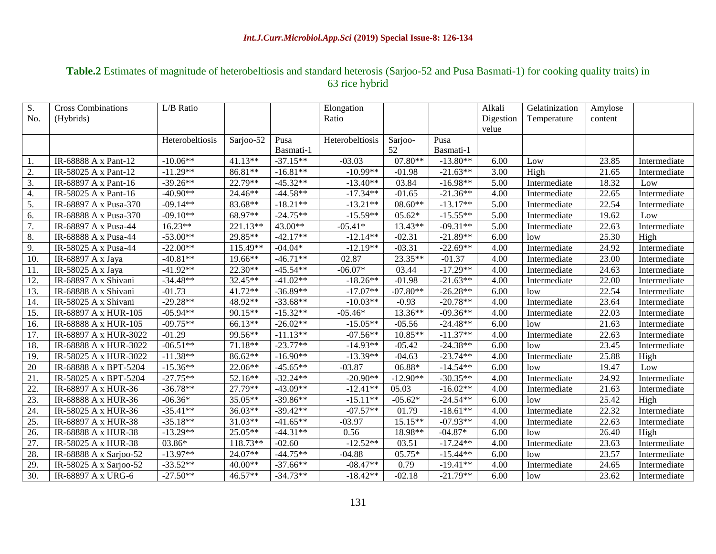## **Table.2** Estimates of magnitude of heterobeltiosis and standard heterosis (Sarjoo-52 and Pusa Basmati-1) for cooking quality traits) in 63 rice hybrid

| S.  | <b>Cross Combinations</b> | L/B Ratio       |           |            | Elongation             |            |            | Alkali    | Gelatinization | Amylose |              |
|-----|---------------------------|-----------------|-----------|------------|------------------------|------------|------------|-----------|----------------|---------|--------------|
| No. | (Hybrids)                 |                 |           |            | Ratio                  |            |            | Digestion | Temperature    | content |              |
|     |                           |                 |           |            |                        |            |            | velue     |                |         |              |
|     |                           | Heterobeltiosis | Sarjoo-52 | Pusa       | <b>Heterobeltiosis</b> | Sarjoo-    | Pusa       |           |                |         |              |
|     |                           |                 |           | Basmati-1  |                        | 52         | Basmati-1  |           |                |         |              |
|     | IR-68888 A x Pant-12      | $-10.06**$      | 41.13**   | $-37.15**$ | $-03.03$               | 07.80**    | $-13.80**$ | 6.00      | Low            | 23.85   | Intermediate |
| 2.  | IR-58025 A x Pant-12      | $-11.29**$      | 86.81**   | $-16.81**$ | $-10.99**$             | $-01.98$   | $-21.63**$ | 3.00      | High           | 21.65   | Intermediate |
| 3.  | IR-68897 A x Pant-16      | $-39.26**$      | 22.79**   | $-45.32**$ | $-13.40**$             | 03.84      | $-16.98**$ | 5.00      | Intermediate   | 18.32   | Low          |
| 4.  | IR-58025 A x Pant-16      | $-40.90**$      | 24.46**   | $-44.58**$ | $-17.34**$             | $-01.65$   | $-21.36**$ | 4.00      | Intermediate   | 22.65   | Intermediate |
| 5.  | IR-68897 A x Pusa-370     | $-09.14**$      | 83.68**   | $-18.21**$ | $-13.21**$             | $08.60**$  | $-13.17**$ | 5.00      | Intermediate   | 22.54   | Intermediate |
| 6.  | IR-68888 A x Pusa-370     | $-09.10**$      | 68.97**   | $-24.75**$ | $-15.59**$             | $05.62*$   | $-15.55**$ | 5.00      | Intermediate   | 19.62   | Low          |
| 7.  | IR-68897 A x Pusa-44      | $16.23**$       | 221.13**  | 43.00**    | $-05.41*$              | 13.43**    | $-09.31**$ | 5.00      | Intermediate   | 22.63   | Intermediate |
| 8.  | IR-68888 A x Pusa-44      | $-53.00**$      | 29.85**   | $-42.17**$ | $-12.14**$             | $-02.31$   | $-21.89**$ | 6.00      | low            | 25.30   | High         |
| 9.  | IR-58025 A x Pusa-44      | $-22.00**$      | 115.49**  | $-04.04*$  | $-12.19**$             | $-03.31$   | $-22.69**$ | 4.00      | Intermediate   | 24.92   | Intermediate |
| 10. | IR-68897 A x Jaya         | $-40.81**$      | 19.66**   | $-46.71**$ | 02.87                  | 23.35**    | $-01.37$   | 4.00      | Intermediate   | 23.00   | Intermediate |
| 11. | IR-58025 A x Jaya         | $-41.92**$      | 22.30**   | $-45.54**$ | $-06.07*$              | 03.44      | $-17.29**$ | 4.00      | Intermediate   | 24.63   | Intermediate |
| 12. | IR-68897 A x Shivani      | $-34.48**$      | 32.45**   | $-41.02**$ | $-18.26**$             | $-01.98$   | $-21.63**$ | 4.00      | Intermediate   | 22.00   | Intermediate |
| 13. | IR-68888 A x Shivani      | $-01.73$        | 41.72**   | $-36.89**$ | $-17.07**$             | $-07.80**$ | $-26.28**$ | 6.00      | low            | 22.54   | Intermediate |
| 14. | IR-58025 A x Shivani      | $-29.28**$      | 48.92**   | $-33.68**$ | $-10.03**$             | $-0.93$    | $-20.78**$ | 4.00      | Intermediate   | 23.64   | Intermediate |
| 15. | IR-68897 A x HUR-105      | $-05.94**$      | 90.15**   | $-15.32**$ | $-05.46*$              | 13.36**    | $-09.36**$ | 4.00      | Intermediate   | 22.03   | Intermediate |
| 16. | IR-68888 A x HUR-105      | $-09.75**$      | 66.13**   | $-26.02**$ | $-15.05**$             | $-05.56$   | $-24.48**$ | 6.00      | low            | 21.63   | Intermediate |
| 17. | IR-68897 A x HUR-3022     | $-01.29$        | 99.56**   | $-11.13**$ | $-07.56**$             | 10.85**    | $-11.37**$ | 4.00      | Intermediate   | 22.63   | Intermediate |
| 18. | IR-68888 A x HUR-3022     | $-06.51**$      | 71.18**   | $-23.77**$ | $-14.93**$             | $-05.42$   | $-24.38**$ | 6.00      | low            | 23.45   | Intermediate |
| 19. | IR-58025 A x HUR-3022     | $-11.38**$      | 86.62**   | $-16.90**$ | $-13.39**$             | $-04.63$   | $-23.74**$ | 4.00      | Intermediate   | 25.88   | High         |
| 20  | IR-68888 A x BPT-5204     | $-15.36**$      | 22.06**   | $-45.65**$ | $-03.87$               | 06.88*     | $-14.54**$ | 6.00      | low            | 19.47   | Low          |
| 21. | IR-58025 A x BPT-5204     | $-27.75**$      | 52.16**   | $-32.24**$ | $-20.90**$             | $-12.90**$ | $-30.35**$ | 4.00      | Intermediate   | 24.92   | Intermediate |
| 22. | IR-68897 A x HUR-36       | $-36.78**$      | 27.79**   | $-43.09**$ | $-12.41**$             | 05.03      | $-16.02**$ | 4.00      | Intermediate   | 21.63   | Intermediate |
| 23. | IR-68888 A x HUR-36       | $-06.36*$       | 35.05**   | $-39.86**$ | $-15.11**$             | $-05.62*$  | $-24.54**$ | 6.00      | low            | 25.42   | High         |
| 24. | IR-58025 A x HUR-36       | $-35.41**$      | 36.03**   | $-39.42**$ | $-07.57**$             | 01.79      | $-18.61**$ | 4.00      | Intermediate   | 22.32   | Intermediate |
| 25. | IR-68897 A x HUR-38       | $-35.18**$      | 31.03**   | $-41.65**$ | $-03.97$               | $15.15**$  | $-07.93**$ | 4.00      | Intermediate   | 22.63   | Intermediate |
| 26. | IR-68888 A x HUR-38       | $-13.29**$      | 25.05**   | $-44.31**$ | 0.56                   | 18.98**    | $-04.87*$  | 6.00      | low            | 26.40   | High         |
| 27. | IR-58025 A x HUR-38       | 03.86*          | 118.73**  | $-02.60$   | $-12.52**$             | 03.51      | $-17.24**$ | 4.00      | Intermediate   | 23.63   | Intermediate |
| 28. | IR-68888 A x Sarjoo-52    | $-13.97**$      | 24.07**   | $-44.75**$ | $-04.88$               | 05.75*     | $-15.44**$ | 6.00      | low            | 23.57   | Intermediate |
| 29. | IR-58025 A x Sarjoo-52    | $-33.52**$      | 40.00**   | $-37.66**$ | $-08.47**$             | 0.79       | $-19.41**$ | 4.00      | Intermediate   | 24.65   | Intermediate |
| 30. | IR-68897 A x URG-6        | $-27.50**$      | 46.57**   | $-34.73**$ | $-18.42**$             | $-02.18$   | $-21.79**$ | 6.00      | low            | 23.62   | Intermediate |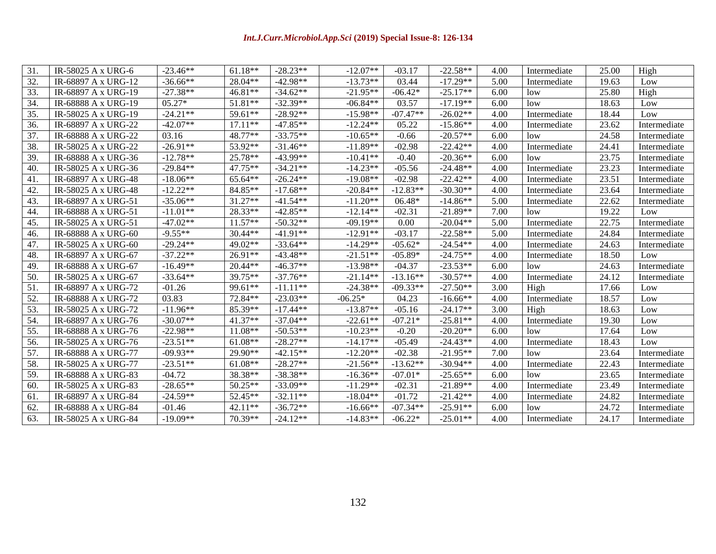#### *Int.J.Curr.Microbiol.App.Sci* **(2019) Special Issue-8: 126-134**

| 31. | IR-58025 A x URG-6  | $-23.46**$ | $61.18**$ | $-28.23**$ | $-12.07**$ | $-03.17$   | $-22.58**$ | 4.00 | Intermediate | 25.00 | High         |
|-----|---------------------|------------|-----------|------------|------------|------------|------------|------|--------------|-------|--------------|
| 32. | IR-68897 A x URG-12 | $-36.66**$ | 28.04**   | $-42.98**$ | $-13.73**$ | 03.44      | $-17.29**$ | 5.00 | Intermediate | 19.63 | Low          |
| 33. | IR-68897 A x URG-19 | $-27.38**$ | 46.81**   | $-34.62**$ | $-21.95**$ | $-06.42*$  | $-25.17**$ | 6.00 | low          | 25.80 | High         |
| 34. | IR-68888 A x URG-19 | $05.27*$   | $51.81**$ | $-32.39**$ | $-06.84**$ | 03.57      | $-17.19**$ | 6.00 | low          | 18.63 | Low          |
| 35. | IR-58025 A x URG-19 | $-24.21**$ | 59.61**   | $-28.92**$ | $-15.98**$ | $-07.47**$ | $-26.02**$ | 4.00 | Intermediate | 18.44 | Low          |
| 36. | IR-68897 A x URG-22 | $-42.07**$ | $17.11**$ | $-47.85**$ | $-12.24**$ | 05.22      | $-15.86**$ | 4.00 | Intermediate | 23.62 | Intermediate |
| 37. | IR-68888 A x URG-22 | 03.16      | 48.77**   | $-33.75**$ | $-10.65**$ | $-0.66$    | $-20.57**$ | 6.00 | low          | 24.58 | Intermediate |
| 38. | IR-58025 A x URG-22 | $-26.91**$ | 53.92**   | $-31.46**$ | $-11.89**$ | $-02.98$   | $-22.42**$ | 4.00 | Intermediate | 24.41 | Intermediate |
| 39. | IR-68888 A x URG-36 | $-12.78**$ | 25.78**   | $-43.99**$ | $-10.41**$ | $-0.40$    | $-20.36**$ | 6.00 | low          | 23.75 | Intermediate |
| 40. | IR-58025 A x URG-36 | $-29.84**$ | 47.75**   | $-34.21**$ | $-14.23**$ | $-05.56$   | $-24.48**$ | 4.00 | Intermediate | 23.23 | Intermediate |
| 41. | IR-68897 A x URG-48 | $-18.06**$ | 65.64**   | $-26.24**$ | $-19.08**$ | $-02.98$   | $-22.42**$ | 4.00 | Intermediate | 23.51 | Intermediate |
| 42. | IR-58025 A x URG-48 | $-12.22**$ | 84.85**   | $-17.68**$ | $-20.84**$ | $-12.83**$ | $-30.30**$ | 4.00 | Intermediate | 23.64 | Intermediate |
| 43. | IR-68897 A x URG-51 | $-35.06**$ | 31.27**   | $-41.54**$ | $-11.20**$ | 06.48*     | $-14.86**$ | 5.00 | Intermediate | 22.62 | Intermediate |
| 44. | IR-68888 A x URG-51 | $-11.01**$ | $28.33**$ | $-42.85**$ | $-12.14**$ | $-02.31$   | $-21.89**$ | 7.00 | low          | 19.22 | Low          |
| 45. | IR-58025 A x URG-51 | $-47.02**$ | $11.57**$ | $-50.32**$ | $-09.19**$ | 0.00       | $-20.04**$ | 5.00 | Intermediate | 22.75 | Intermediate |
| 46. | IR-68888 A x URG-60 | $-9.55**$  | $30.44**$ | $-41.91**$ | $-12.91**$ | $-03.17$   | $-22.58**$ | 5.00 | Intermediate | 24.84 | Intermediate |
| 47. | IR-58025 A x URG-60 | $-29.24**$ | 49.02**   | $-33.64**$ | $-14.29**$ | $-05.62*$  | $-24.54**$ | 4.00 | Intermediate | 24.63 | Intermediate |
| 48. | IR-68897 A x URG-67 | $-37.22**$ | $26.91**$ | $-43.48**$ | $-21.51**$ | $-05.89*$  | $-24.75**$ | 4.00 | Intermediate | 18.50 | Low          |
| 49. | IR-68888 A x URG-67 | $-16.49**$ | $20.44**$ | $-46.37**$ | $-13.98**$ | $-04.37$   | $-23.53**$ | 6.00 | low          | 24.63 | Intermediate |
| 50. | IR-58025 A x URG-67 | $-33.64**$ | 39.75**   | $-37.76**$ | $-21.14**$ | $-13.16**$ | $-30.57**$ | 4.00 | Intermediate | 24.12 | Intermediate |
| 51. | IR-68897 A x URG-72 | $-01.26$   | 99.61**   | $-11.11**$ | $-24.38**$ | $-09.33**$ | $-27.50**$ | 3.00 | High         | 17.66 | Low          |
| 52. | IR-68888 A x URG-72 | 03.83      | 72.84**   | $-23.03**$ | $-06.25*$  | 04.23      | $-16.66**$ | 4.00 | Intermediate | 18.57 | Low          |
| 53. | IR-58025 A x URG-72 | $-11.96**$ | 85.39**   | $-17.44**$ | $-13.87**$ | $-05.16$   | $-24.17**$ | 3.00 | High         | 18.63 | Low          |
| 54. | IR-68897 A x URG-76 | $-30.07**$ | 41.37**   | $-37.04**$ | $-22.61**$ | $-07.21*$  | $-25.81**$ | 4.00 | Intermediate | 19.30 | Low          |
| 55. | IR-68888 A x URG-76 | $-22.98**$ | $11.08**$ | $-50.53**$ | $-10.23**$ | $-0.20$    | $-20.20**$ | 6.00 | low          | 17.64 | Low          |
| 56. | IR-58025 A x URG-76 | $-23.51**$ | $61.08**$ | $-28.27**$ | $-14.17**$ | $-05.49$   | $-24.43**$ | 4.00 | Intermediate | 18.43 | Low          |
| 57. | IR-68888 A x URG-77 | $-09.93**$ | 29.90**   | $-42.15**$ | $-12.20**$ | $-02.38$   | $-21.95**$ | 7.00 | low          | 23.64 | Intermediate |
| 58. | IR-58025 A x URG-77 | $-23.51**$ | $61.08**$ | $-28.27**$ | $-21.56**$ | $-13.62**$ | $-30.94**$ | 4.00 | Intermediate | 22.43 | Intermediate |
| 59. | IR-68888 A x URG-83 | $-04.72$   | 38.38**   | $-38.38**$ | $-16.36**$ | $-07.01*$  | $-25.65**$ | 6.00 | low          | 23.65 | Intermediate |
| 60. | IR-58025 A x URG-83 | $-28.65**$ | 50.25**   | $-33.09**$ | $-11.29**$ | $-02.31$   | $-21.89**$ | 4.00 | Intermediate | 23.49 | Intermediate |
| 61. | IR-68897 A x URG-84 | $-24.59**$ | 52.45**   | $-32.11**$ | $-18.04**$ | $-01.72$   | $-21.42**$ | 4.00 | Intermediate | 24.82 | Intermediate |
| 62. | IR-68888 A x URG-84 | $-01.46$   | $42.11**$ | $-36.72**$ | $-16.66**$ | $-07.34**$ | $-25.91**$ | 6.00 | low          | 24.72 | Intermediate |
| 63. | IR-58025 A x URG-84 | $-19.09**$ | $70.39**$ | $-24.12**$ | $-14.83**$ | $-06.22*$  | $-25.01**$ | 4.00 | Intermediate | 24.17 | Intermediate |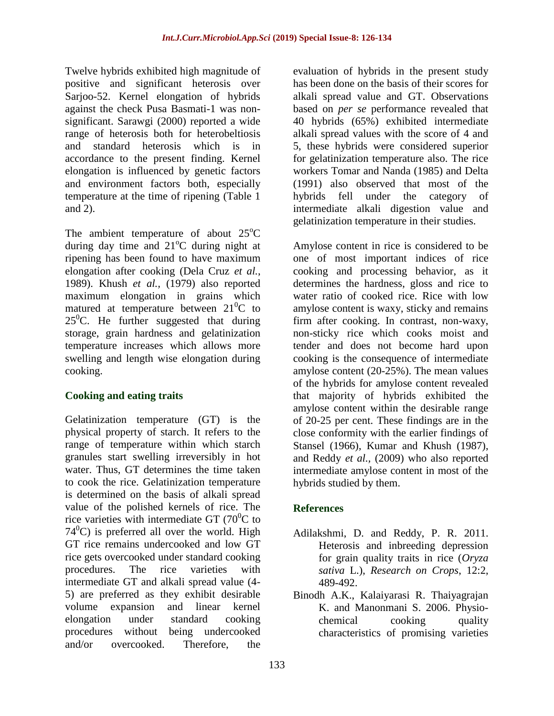Twelve hybrids exhibited high magnitude of positive and significant heterosis over Sarjoo-52. Kernel elongation of hybrids against the check Pusa Basmati-1 was nonsignificant. Sarawgi (2000) reported a wide range of heterosis both for heterobeltiosis and standard heterosis which is in accordance to the present finding. Kernel elongation is influenced by genetic factors and environment factors both, especially temperature at the time of ripening (Table 1 and 2).

The ambient temperature of about  $25^{\circ}$ C during day time and  $21^{\circ}$ C during night at ripening has been found to have maximum elongation after cooking (Dela Cruz *et al.*, 1989). Khush *et al.,* (1979) also reported maximum elongation in grains which matured at temperature between  $21^0C$  to  $25^{\circ}$ C. He further suggested that during storage, grain hardness and gelatinization temperature increases which allows more swelling and length wise elongation during cooking.

### **Cooking and eating traits**

Gelatinization temperature (GT) is the physical property of starch. It refers to the range of temperature within which starch granules start swelling irreversibly in hot water. Thus, GT determines the time taken to cook the rice. Gelatinization temperature is determined on the basis of alkali spread value of the polished kernels of rice. The rice varieties with intermediate GT  $(70^0C)$  to  $74^{\circ}$ C) is preferred all over the world. High GT rice remains undercooked and low GT rice gets overcooked under standard cooking procedures. The rice varieties with intermediate GT and alkali spread value (4- 5) are preferred as they exhibit desirable volume expansion and linear kernel elongation under standard cooking procedures without being undercooked and/or overcooked. Therefore, the

evaluation of hybrids in the present study has been done on the basis of their scores for alkali spread value and GT. Observations based on *per se* performance revealed that 40 hybrids (65%) exhibited intermediate alkali spread values with the score of 4 and 5, these hybrids were considered superior for gelatinization temperature also. The rice workers Tomar and Nanda (1985) and Delta (1991) also observed that most of the hybrids fell under the category of intermediate alkali digestion value and gelatinization temperature in their studies.

Amylose content in rice is considered to be one of most important indices of rice cooking and processing behavior, as it determines the hardness, gloss and rice to water ratio of cooked rice. Rice with low amylose content is waxy, sticky and remains firm after cooking. In contrast, non-waxy, non-sticky rice which cooks moist and tender and does not become hard upon cooking is the consequence of intermediate amylose content (20-25%). The mean values of the hybrids for amylose content revealed that majority of hybrids exhibited the amylose content within the desirable range of 20-25 per cent. These findings are in the close conformity with the earlier findings of Stansel (1966), Kumar and Khush (1987), and Reddy *et al.,* (2009) who also reported intermediate amylose content in most of the hybrids studied by them.

# **References**

- Adilakshmi, D. and Reddy, P. R. 2011. [Heterosis and inbreeding depression](http://ovidsp.tx.ovid.com/sp-3.5.1a/ovidweb.cgi?&S=JDONFPHEPMDDLDEGNCALGAMCMEHAAA00&Complete+Reference=S.sh.14%7c5%7c1)  [for grain quality traits in rice \(](http://ovidsp.tx.ovid.com/sp-3.5.1a/ovidweb.cgi?&S=JDONFPHEPMDDLDEGNCALGAMCMEHAAA00&Complete+Reference=S.sh.14%7c5%7c1)*Oryza [sativa](http://ovidsp.tx.ovid.com/sp-3.5.1a/ovidweb.cgi?&S=JDONFPHEPMDDLDEGNCALGAMCMEHAAA00&Complete+Reference=S.sh.14%7c5%7c1)* L.), *Research on Crops*, 12:2, 489-492.
- Binodh A.K., Kalaiyarasi R. Thaiyagrajan K. and Manonmani S. 2006. Physiochemical cooking quality characteristics of promising varieties